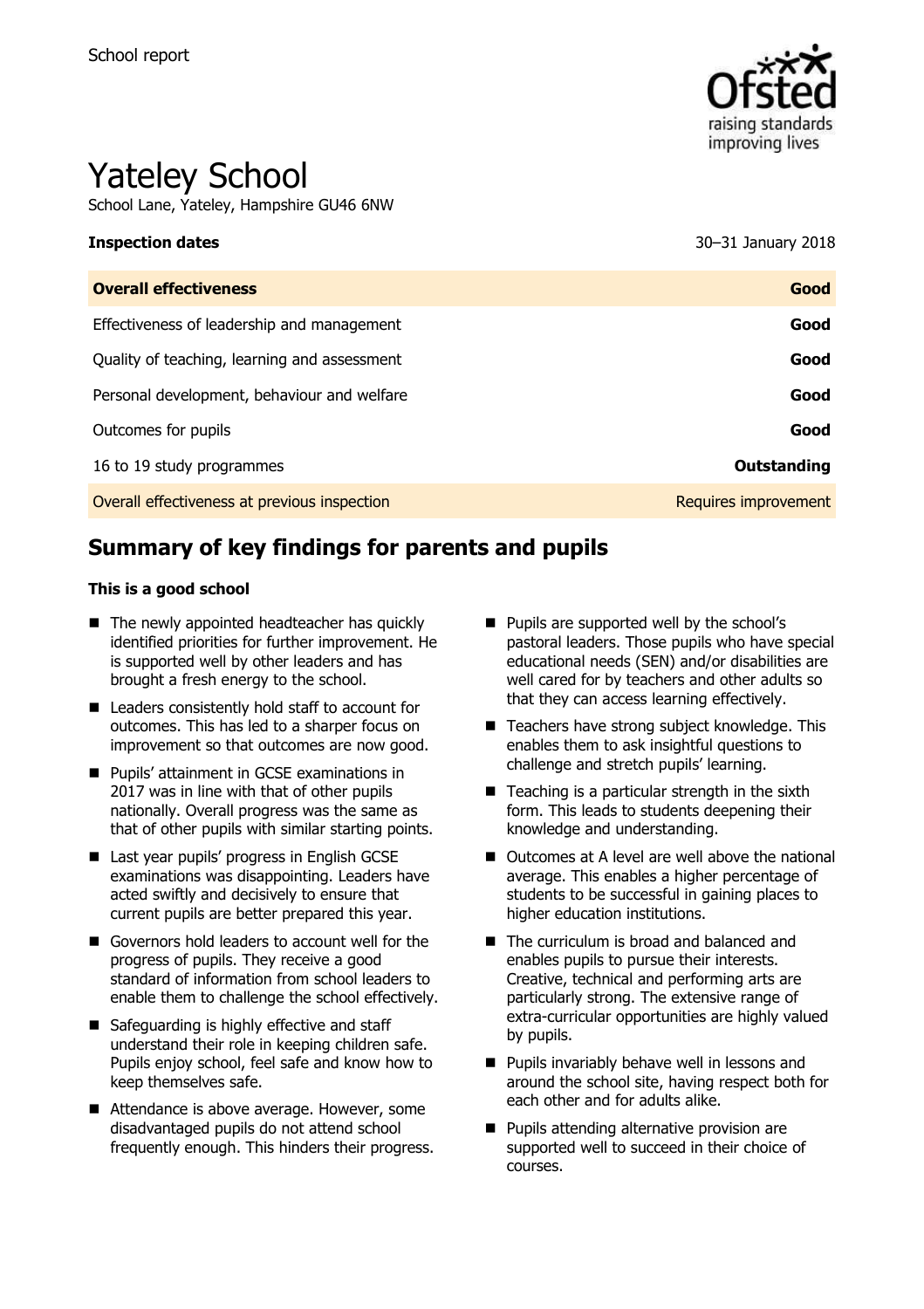

# Yateley School

School Lane, Yateley, Hampshire GU46 6NW

**Inspection dates** 30–31 January 2018

| <b>Overall effectiveness</b>                 | Good                 |
|----------------------------------------------|----------------------|
| Effectiveness of leadership and management   | Good                 |
| Quality of teaching, learning and assessment | Good                 |
| Personal development, behaviour and welfare  | Good                 |
| Outcomes for pupils                          | Good                 |
| 16 to 19 study programmes                    | Outstanding          |
| Overall effectiveness at previous inspection | Requires improvement |
|                                              |                      |

# **Summary of key findings for parents and pupils**

#### **This is a good school**

- The newly appointed headteacher has quickly identified priorities for further improvement. He is supported well by other leaders and has brought a fresh energy to the school.
- Leaders consistently hold staff to account for outcomes. This has led to a sharper focus on improvement so that outcomes are now good.
- **Pupils' attainment in GCSE examinations in** 2017 was in line with that of other pupils nationally. Overall progress was the same as that of other pupils with similar starting points.
- Last year pupils' progress in English GCSE examinations was disappointing. Leaders have acted swiftly and decisively to ensure that current pupils are better prepared this year.
- Governors hold leaders to account well for the progress of pupils. They receive a good standard of information from school leaders to enable them to challenge the school effectively.
- Safeguarding is highly effective and staff understand their role in keeping children safe. Pupils enjoy school, feel safe and know how to keep themselves safe.
- Attendance is above average. However, some disadvantaged pupils do not attend school frequently enough. This hinders their progress.
- **Pupils are supported well by the school's** pastoral leaders. Those pupils who have special educational needs (SEN) and/or disabilities are well cared for by teachers and other adults so that they can access learning effectively.
- $\blacksquare$  Teachers have strong subject knowledge. This enables them to ask insightful questions to challenge and stretch pupils' learning.
- $\blacksquare$  Teaching is a particular strength in the sixth form. This leads to students deepening their knowledge and understanding.
- Outcomes at A level are well above the national average. This enables a higher percentage of students to be successful in gaining places to higher education institutions.
- The curriculum is broad and balanced and enables pupils to pursue their interests. Creative, technical and performing arts are particularly strong. The extensive range of extra-curricular opportunities are highly valued by pupils.
- **Pupils invariably behave well in lessons and** around the school site, having respect both for each other and for adults alike.
- **Pupils attending alternative provision are** supported well to succeed in their choice of courses.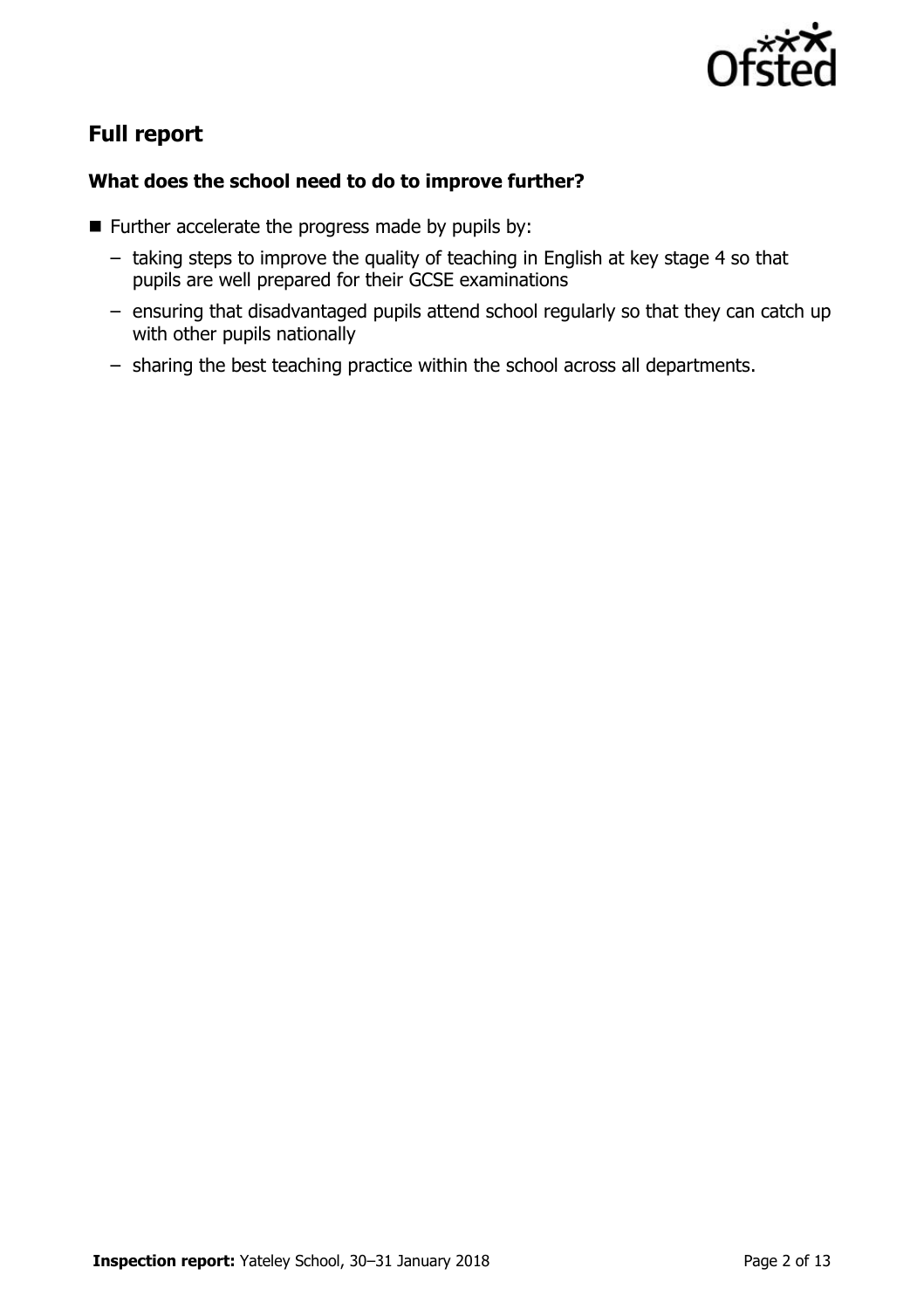

# **Full report**

### **What does the school need to do to improve further?**

- $\blacksquare$  Further accelerate the progress made by pupils by:
	- taking steps to improve the quality of teaching in English at key stage 4 so that pupils are well prepared for their GCSE examinations
	- ensuring that disadvantaged pupils attend school regularly so that they can catch up with other pupils nationally
	- sharing the best teaching practice within the school across all departments.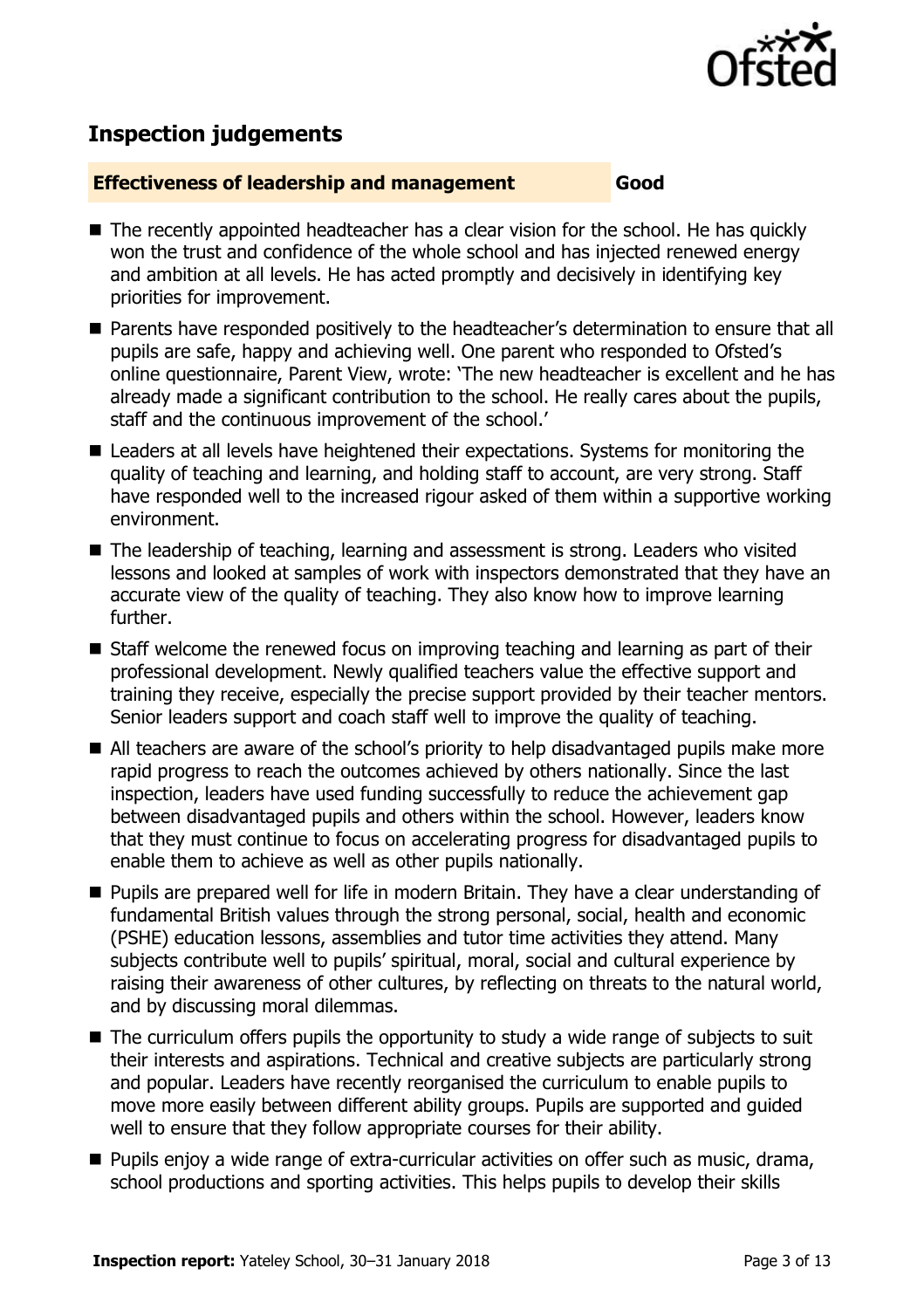

# **Inspection judgements**

#### **Effectiveness of leadership and management Good**

- The recently appointed headteacher has a clear vision for the school. He has quickly won the trust and confidence of the whole school and has injected renewed energy and ambition at all levels. He has acted promptly and decisively in identifying key priorities for improvement.
- Parents have responded positively to the headteacher's determination to ensure that all pupils are safe, happy and achieving well. One parent who responded to Ofsted's online questionnaire, Parent View, wrote: 'The new headteacher is excellent and he has already made a significant contribution to the school. He really cares about the pupils, staff and the continuous improvement of the school.'
- Leaders at all levels have heightened their expectations. Systems for monitoring the quality of teaching and learning, and holding staff to account, are very strong. Staff have responded well to the increased rigour asked of them within a supportive working environment.
- The leadership of teaching, learning and assessment is strong. Leaders who visited lessons and looked at samples of work with inspectors demonstrated that they have an accurate view of the quality of teaching. They also know how to improve learning further.
- Staff welcome the renewed focus on improving teaching and learning as part of their professional development. Newly qualified teachers value the effective support and training they receive, especially the precise support provided by their teacher mentors. Senior leaders support and coach staff well to improve the quality of teaching.
- All teachers are aware of the school's priority to help disadvantaged pupils make more rapid progress to reach the outcomes achieved by others nationally. Since the last inspection, leaders have used funding successfully to reduce the achievement gap between disadvantaged pupils and others within the school. However, leaders know that they must continue to focus on accelerating progress for disadvantaged pupils to enable them to achieve as well as other pupils nationally.
- **Pupils are prepared well for life in modern Britain. They have a clear understanding of** fundamental British values through the strong personal, social, health and economic (PSHE) education lessons, assemblies and tutor time activities they attend. Many subjects contribute well to pupils' spiritual, moral, social and cultural experience by raising their awareness of other cultures, by reflecting on threats to the natural world, and by discussing moral dilemmas.
- The curriculum offers pupils the opportunity to study a wide range of subjects to suit their interests and aspirations. Technical and creative subjects are particularly strong and popular. Leaders have recently reorganised the curriculum to enable pupils to move more easily between different ability groups. Pupils are supported and guided well to ensure that they follow appropriate courses for their ability.
- **Pupils enjoy a wide range of extra-curricular activities on offer such as music, drama,** school productions and sporting activities. This helps pupils to develop their skills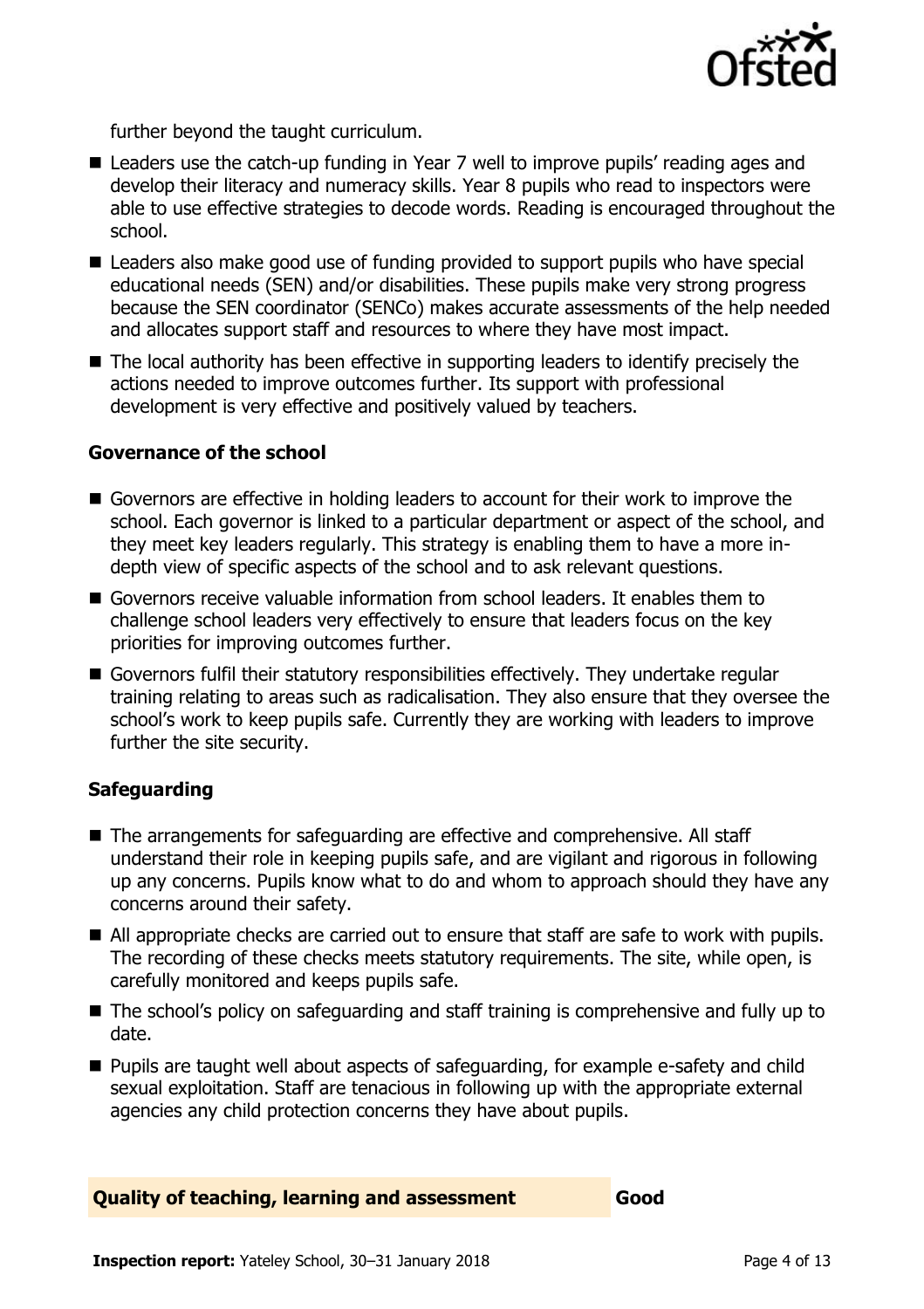

further beyond the taught curriculum.

- Leaders use the catch-up funding in Year 7 well to improve pupils' reading ages and develop their literacy and numeracy skills. Year 8 pupils who read to inspectors were able to use effective strategies to decode words. Reading is encouraged throughout the school.
- Leaders also make good use of funding provided to support pupils who have special educational needs (SEN) and/or disabilities. These pupils make very strong progress because the SEN coordinator (SENCo) makes accurate assessments of the help needed and allocates support staff and resources to where they have most impact.
- The local authority has been effective in supporting leaders to identify precisely the actions needed to improve outcomes further. Its support with professional development is very effective and positively valued by teachers.

#### **Governance of the school**

- Governors are effective in holding leaders to account for their work to improve the school. Each governor is linked to a particular department or aspect of the school, and they meet key leaders regularly. This strategy is enabling them to have a more indepth view of specific aspects of the school and to ask relevant questions.
- Governors receive valuable information from school leaders. It enables them to challenge school leaders very effectively to ensure that leaders focus on the key priorities for improving outcomes further.
- Governors fulfil their statutory responsibilities effectively. They undertake regular training relating to areas such as radicalisation. They also ensure that they oversee the school's work to keep pupils safe. Currently they are working with leaders to improve further the site security.

### **Safeguarding**

- The arrangements for safeguarding are effective and comprehensive. All staff understand their role in keeping pupils safe, and are vigilant and rigorous in following up any concerns. Pupils know what to do and whom to approach should they have any concerns around their safety.
- All appropriate checks are carried out to ensure that staff are safe to work with pupils. The recording of these checks meets statutory requirements. The site, while open, is carefully monitored and keeps pupils safe.
- The school's policy on safeguarding and staff training is comprehensive and fully up to date.
- **Pupils are taught well about aspects of safeguarding, for example e-safety and child** sexual exploitation. Staff are tenacious in following up with the appropriate external agencies any child protection concerns they have about pupils.

**Quality of teaching, learning and assessment Good** 

**Inspection report:** Yateley School, 30–31 January 2018 **Page 4 of 13** Page 4 of 13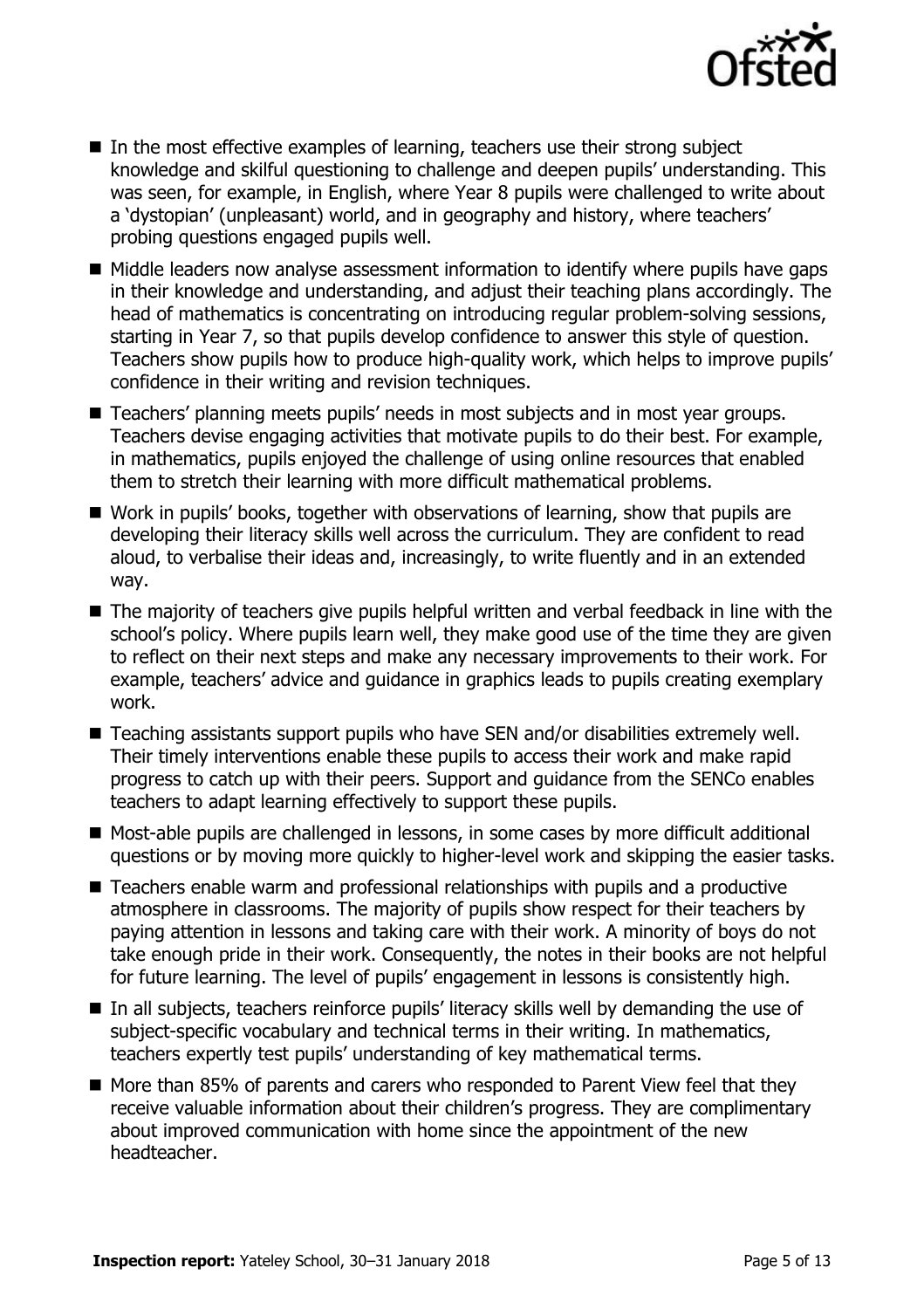

- In the most effective examples of learning, teachers use their strong subject knowledge and skilful questioning to challenge and deepen pupils' understanding. This was seen, for example, in English, where Year 8 pupils were challenged to write about a 'dystopian' (unpleasant) world, and in geography and history, where teachers' probing questions engaged pupils well.
- $\blacksquare$  Middle leaders now analyse assessment information to identify where pupils have gaps in their knowledge and understanding, and adjust their teaching plans accordingly. The head of mathematics is concentrating on introducing regular problem-solving sessions, starting in Year 7, so that pupils develop confidence to answer this style of question. Teachers show pupils how to produce high-quality work, which helps to improve pupils' confidence in their writing and revision techniques.
- Teachers' planning meets pupils' needs in most subjects and in most year groups. Teachers devise engaging activities that motivate pupils to do their best. For example, in mathematics, pupils enjoyed the challenge of using online resources that enabled them to stretch their learning with more difficult mathematical problems.
- Work in pupils' books, together with observations of learning, show that pupils are developing their literacy skills well across the curriculum. They are confident to read aloud, to verbalise their ideas and, increasingly, to write fluently and in an extended way.
- The majority of teachers give pupils helpful written and verbal feedback in line with the school's policy. Where pupils learn well, they make good use of the time they are given to reflect on their next steps and make any necessary improvements to their work. For example, teachers' advice and guidance in graphics leads to pupils creating exemplary work.
- Teaching assistants support pupils who have SEN and/or disabilities extremely well. Their timely interventions enable these pupils to access their work and make rapid progress to catch up with their peers. Support and guidance from the SENCo enables teachers to adapt learning effectively to support these pupils.
- Most-able pupils are challenged in lessons, in some cases by more difficult additional questions or by moving more quickly to higher-level work and skipping the easier tasks.
- Teachers enable warm and professional relationships with pupils and a productive atmosphere in classrooms. The majority of pupils show respect for their teachers by paying attention in lessons and taking care with their work. A minority of boys do not take enough pride in their work. Consequently, the notes in their books are not helpful for future learning. The level of pupils' engagement in lessons is consistently high.
- In all subjects, teachers reinforce pupils' literacy skills well by demanding the use of subject-specific vocabulary and technical terms in their writing. In mathematics, teachers expertly test pupils' understanding of key mathematical terms.
- $\blacksquare$  More than 85% of parents and carers who responded to Parent View feel that they receive valuable information about their children's progress. They are complimentary about improved communication with home since the appointment of the new headteacher.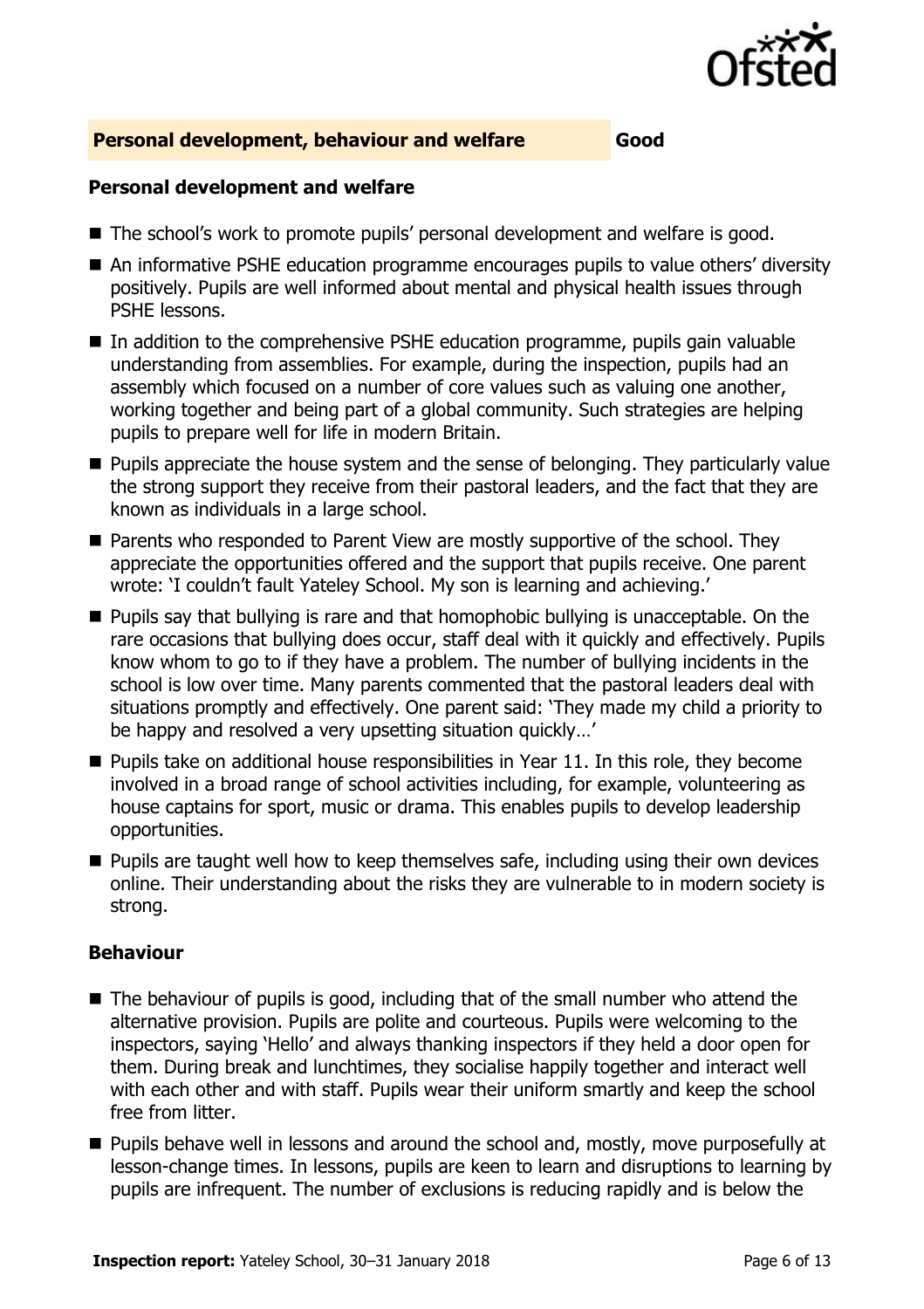

#### **Personal development, behaviour and welfare Good**

#### **Personal development and welfare**

- The school's work to promote pupils' personal development and welfare is good.
- An informative PSHE education programme encourages pupils to value others' diversity positively. Pupils are well informed about mental and physical health issues through PSHE lessons.
- In addition to the comprehensive PSHE education programme, pupils gain valuable understanding from assemblies. For example, during the inspection, pupils had an assembly which focused on a number of core values such as valuing one another, working together and being part of a global community. Such strategies are helping pupils to prepare well for life in modern Britain.
- **Pupils appreciate the house system and the sense of belonging. They particularly value** the strong support they receive from their pastoral leaders, and the fact that they are known as individuals in a large school.
- Parents who responded to Parent View are mostly supportive of the school. They appreciate the opportunities offered and the support that pupils receive. One parent wrote: 'I couldn't fault Yateley School. My son is learning and achieving.'
- **Pupils say that bullying is rare and that homophobic bullying is unacceptable. On the** rare occasions that bullying does occur, staff deal with it quickly and effectively. Pupils know whom to go to if they have a problem. The number of bullying incidents in the school is low over time. Many parents commented that the pastoral leaders deal with situations promptly and effectively. One parent said: 'They made my child a priority to be happy and resolved a very upsetting situation quickly…'
- $\blacksquare$  Pupils take on additional house responsibilities in Year 11. In this role, they become involved in a broad range of school activities including, for example, volunteering as house captains for sport, music or drama. This enables pupils to develop leadership opportunities.
- **Pupils are taught well how to keep themselves safe, including using their own devices** online. Their understanding about the risks they are vulnerable to in modern society is strong.

#### **Behaviour**

- The behaviour of pupils is good, including that of the small number who attend the alternative provision. Pupils are polite and courteous. Pupils were welcoming to the inspectors, saying 'Hello' and always thanking inspectors if they held a door open for them. During break and lunchtimes, they socialise happily together and interact well with each other and with staff. Pupils wear their uniform smartly and keep the school free from litter.
- **Pupils behave well in lessons and around the school and, mostly, move purposefully at** lesson-change times. In lessons, pupils are keen to learn and disruptions to learning by pupils are infrequent. The number of exclusions is reducing rapidly and is below the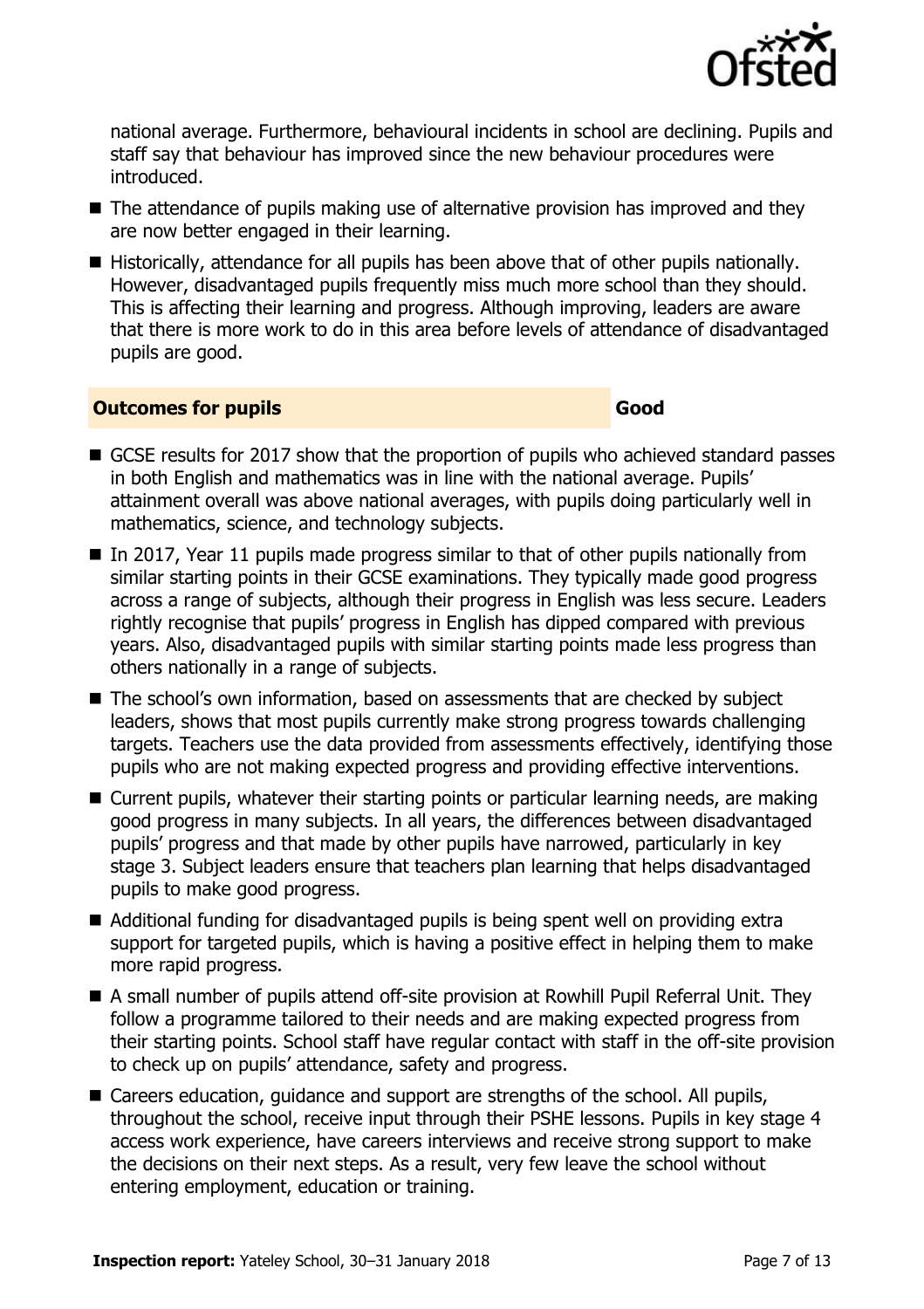

national average. Furthermore, behavioural incidents in school are declining. Pupils and staff say that behaviour has improved since the new behaviour procedures were introduced.

- The attendance of pupils making use of alternative provision has improved and they are now better engaged in their learning.
- Historically, attendance for all pupils has been above that of other pupils nationally. However, disadvantaged pupils frequently miss much more school than they should. This is affecting their learning and progress. Although improving, leaders are aware that there is more work to do in this area before levels of attendance of disadvantaged pupils are good.

#### **Outcomes for pupils Good**

- GCSE results for 2017 show that the proportion of pupils who achieved standard passes in both English and mathematics was in line with the national average. Pupils' attainment overall was above national averages, with pupils doing particularly well in mathematics, science, and technology subjects.
- $\blacksquare$  In 2017, Year 11 pupils made progress similar to that of other pupils nationally from similar starting points in their GCSE examinations. They typically made good progress across a range of subjects, although their progress in English was less secure. Leaders rightly recognise that pupils' progress in English has dipped compared with previous years. Also, disadvantaged pupils with similar starting points made less progress than others nationally in a range of subjects.
- The school's own information, based on assessments that are checked by subject leaders, shows that most pupils currently make strong progress towards challenging targets. Teachers use the data provided from assessments effectively, identifying those pupils who are not making expected progress and providing effective interventions.
- Current pupils, whatever their starting points or particular learning needs, are making good progress in many subjects. In all years, the differences between disadvantaged pupils' progress and that made by other pupils have narrowed, particularly in key stage 3. Subject leaders ensure that teachers plan learning that helps disadvantaged pupils to make good progress.
- Additional funding for disadvantaged pupils is being spent well on providing extra support for targeted pupils, which is having a positive effect in helping them to make more rapid progress.
- A small number of pupils attend off-site provision at Rowhill Pupil Referral Unit. They follow a programme tailored to their needs and are making expected progress from their starting points. School staff have regular contact with staff in the off-site provision to check up on pupils' attendance, safety and progress.
- Careers education, quidance and support are strengths of the school. All pupils, throughout the school, receive input through their PSHE lessons. Pupils in key stage 4 access work experience, have careers interviews and receive strong support to make the decisions on their next steps. As a result, very few leave the school without entering employment, education or training.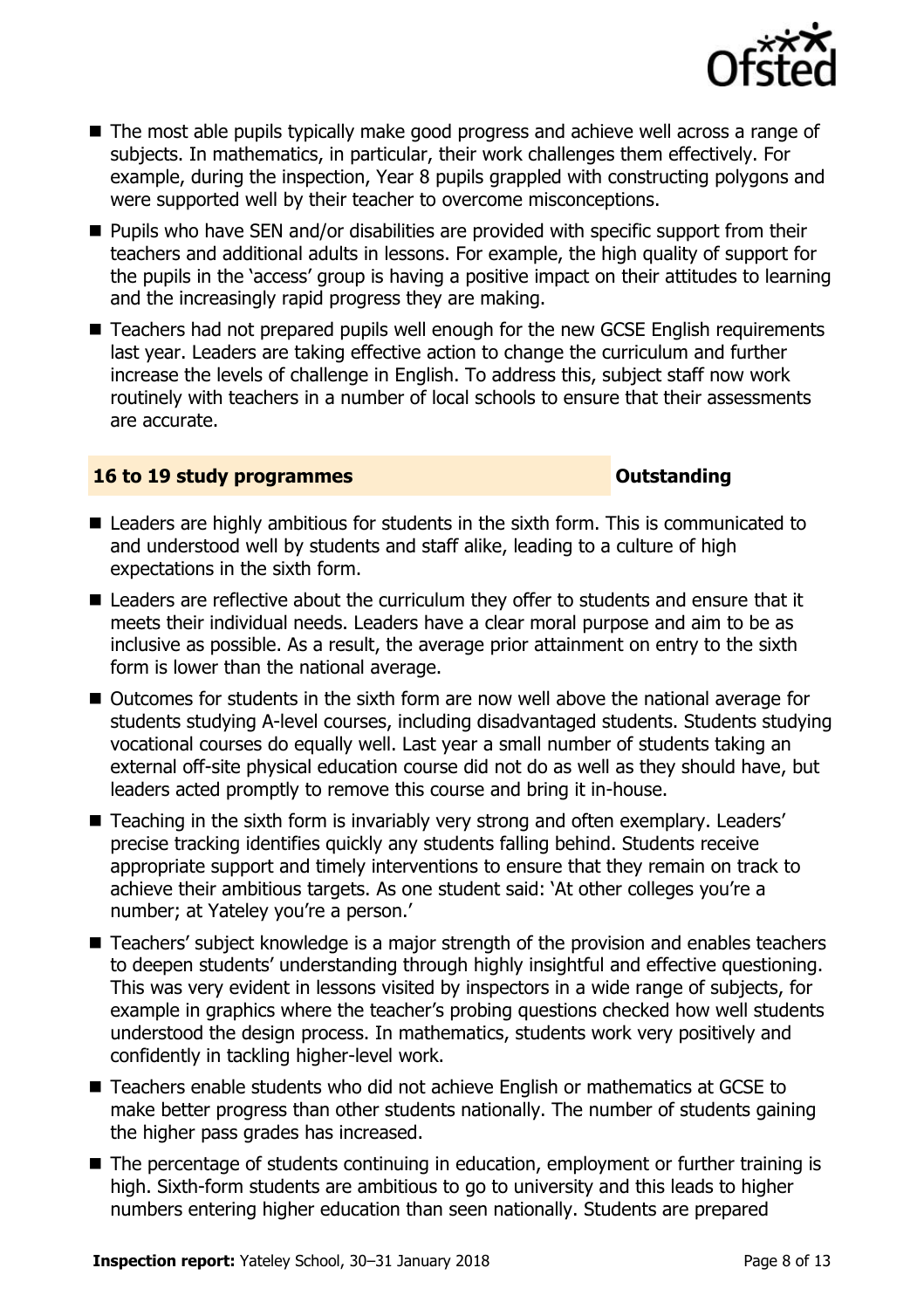

- The most able pupils typically make good progress and achieve well across a range of subjects. In mathematics, in particular, their work challenges them effectively. For example, during the inspection, Year 8 pupils grappled with constructing polygons and were supported well by their teacher to overcome misconceptions.
- **Pupils who have SEN and/or disabilities are provided with specific support from their** teachers and additional adults in lessons. For example, the high quality of support for the pupils in the 'access' group is having a positive impact on their attitudes to learning and the increasingly rapid progress they are making.
- Teachers had not prepared pupils well enough for the new GCSE English requirements last year. Leaders are taking effective action to change the curriculum and further increase the levels of challenge in English. To address this, subject staff now work routinely with teachers in a number of local schools to ensure that their assessments are accurate.

#### **16 to 19 study programmes Distances Outstanding**

- Leaders are highly ambitious for students in the sixth form. This is communicated to and understood well by students and staff alike, leading to a culture of high expectations in the sixth form.
- Leaders are reflective about the curriculum they offer to students and ensure that it meets their individual needs. Leaders have a clear moral purpose and aim to be as inclusive as possible. As a result, the average prior attainment on entry to the sixth form is lower than the national average.
- Outcomes for students in the sixth form are now well above the national average for students studying A-level courses, including disadvantaged students. Students studying vocational courses do equally well. Last year a small number of students taking an external off-site physical education course did not do as well as they should have, but leaders acted promptly to remove this course and bring it in-house.
- Teaching in the sixth form is invariably very strong and often exemplary. Leaders' precise tracking identifies quickly any students falling behind. Students receive appropriate support and timely interventions to ensure that they remain on track to achieve their ambitious targets. As one student said: 'At other colleges you're a number; at Yateley you're a person.'
- Teachers' subject knowledge is a major strength of the provision and enables teachers to deepen students' understanding through highly insightful and effective questioning. This was very evident in lessons visited by inspectors in a wide range of subjects, for example in graphics where the teacher's probing questions checked how well students understood the design process. In mathematics, students work very positively and confidently in tackling higher-level work.
- Teachers enable students who did not achieve English or mathematics at GCSE to make better progress than other students nationally. The number of students gaining the higher pass grades has increased.
- The percentage of students continuing in education, employment or further training is high. Sixth-form students are ambitious to go to university and this leads to higher numbers entering higher education than seen nationally. Students are prepared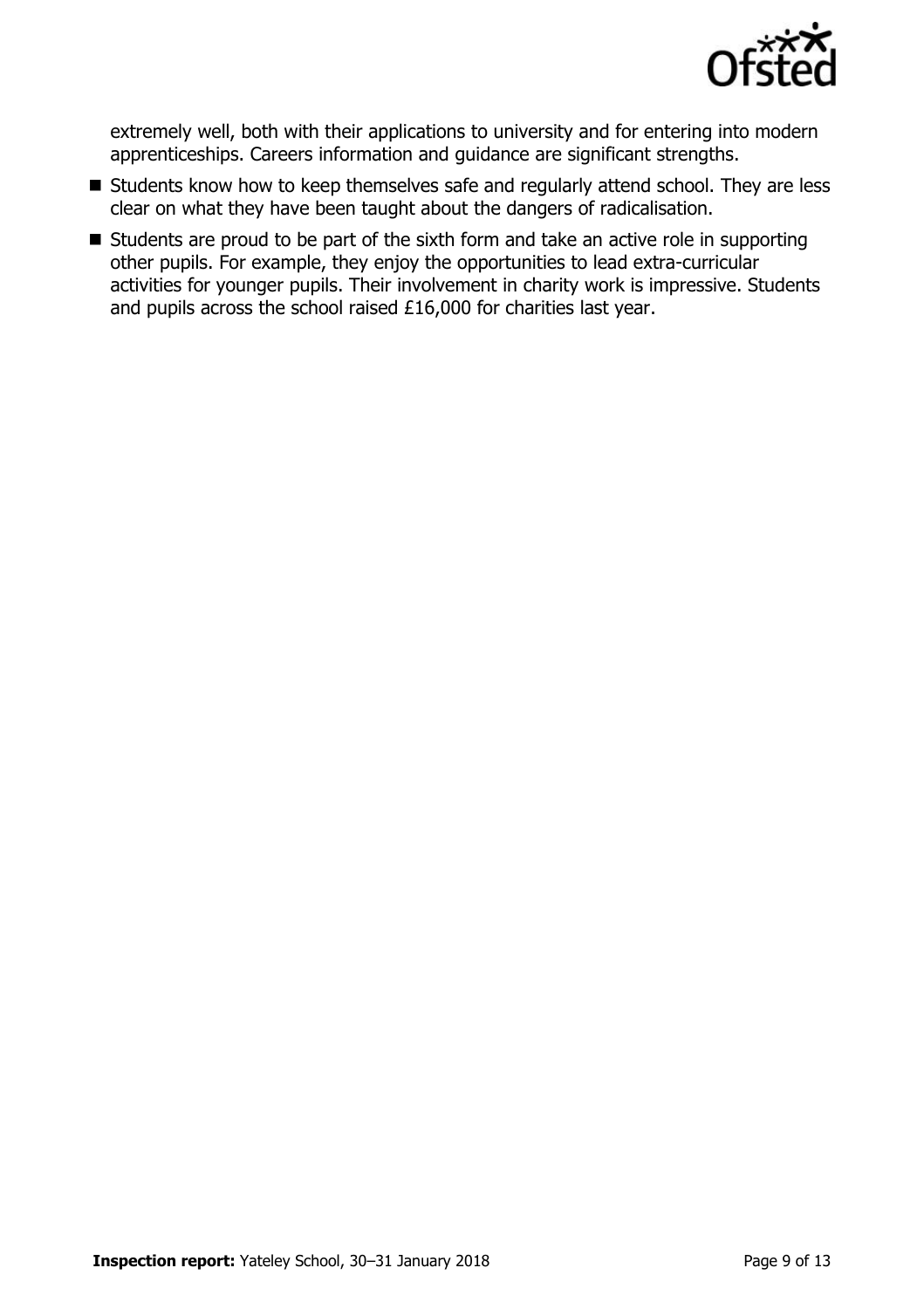

extremely well, both with their applications to university and for entering into modern apprenticeships. Careers information and guidance are significant strengths.

- Students know how to keep themselves safe and regularly attend school. They are less clear on what they have been taught about the dangers of radicalisation.
- $\blacksquare$  Students are proud to be part of the sixth form and take an active role in supporting other pupils. For example, they enjoy the opportunities to lead extra-curricular activities for younger pupils. Their involvement in charity work is impressive. Students and pupils across the school raised £16,000 for charities last year.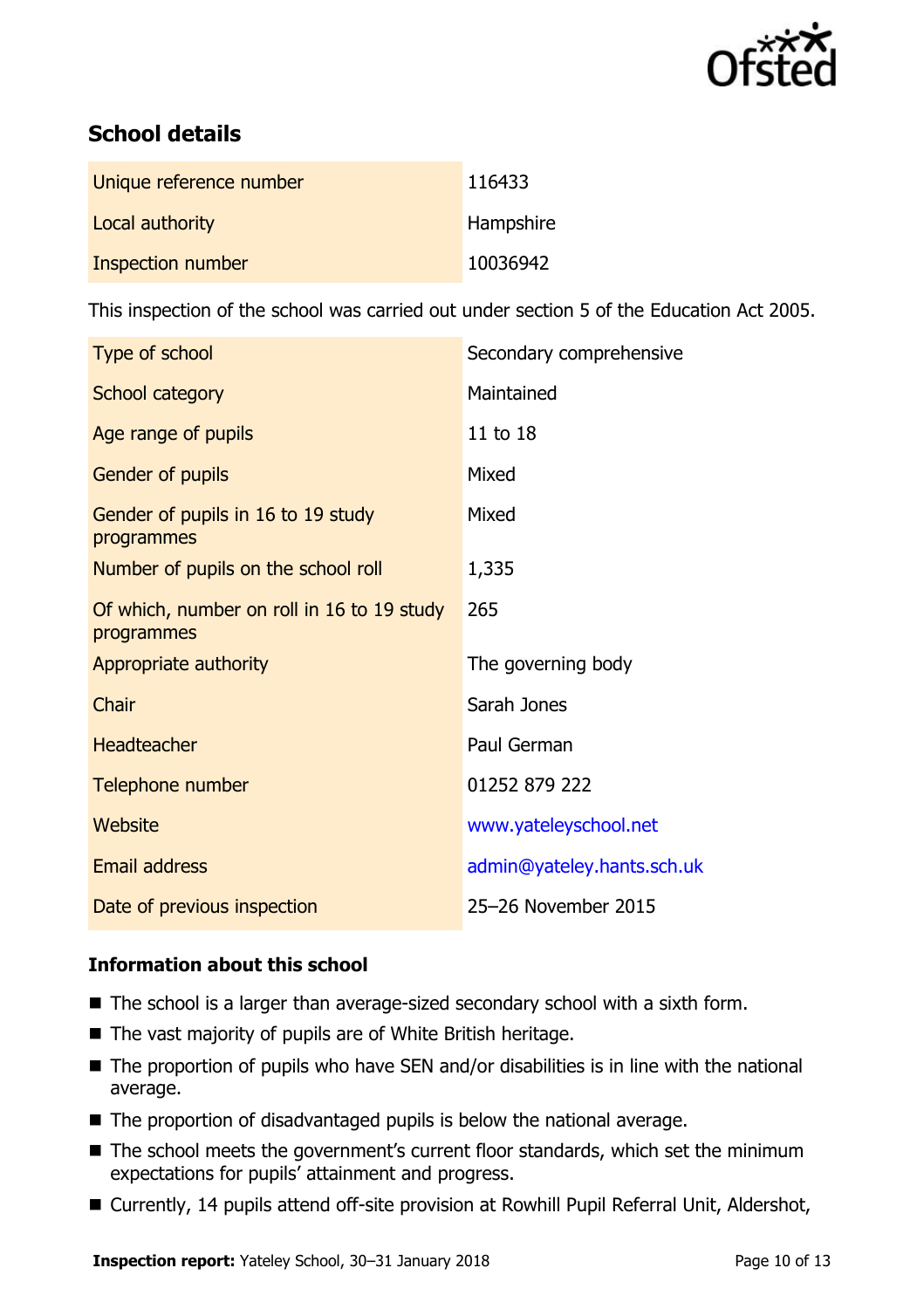

# **School details**

| Unique reference number | 116433    |
|-------------------------|-----------|
| Local authority         | Hampshire |
| Inspection number       | 10036942  |

This inspection of the school was carried out under section 5 of the Education Act 2005.

| Type of school                                           | Secondary comprehensive    |
|----------------------------------------------------------|----------------------------|
| School category                                          | Maintained                 |
| Age range of pupils                                      | 11 to 18                   |
| Gender of pupils                                         | Mixed                      |
| Gender of pupils in 16 to 19 study<br>programmes         | Mixed                      |
| Number of pupils on the school roll                      | 1,335                      |
| Of which, number on roll in 16 to 19 study<br>programmes | 265                        |
| Appropriate authority                                    | The governing body         |
| Chair                                                    | Sarah Jones                |
| <b>Headteacher</b>                                       | Paul German                |
| Telephone number                                         | 01252 879 222              |
| Website                                                  | www.yateleyschool.net      |
| Email address                                            | admin@yateley.hants.sch.uk |
| Date of previous inspection                              | 25-26 November 2015        |

### **Information about this school**

- The school is a larger than average-sized secondary school with a sixth form.
- The vast majority of pupils are of White British heritage.
- The proportion of pupils who have SEN and/or disabilities is in line with the national average.
- The proportion of disadvantaged pupils is below the national average.
- The school meets the government's current floor standards, which set the minimum expectations for pupils' attainment and progress.
- Currently, 14 pupils attend off-site provision at Rowhill Pupil Referral Unit, Aldershot,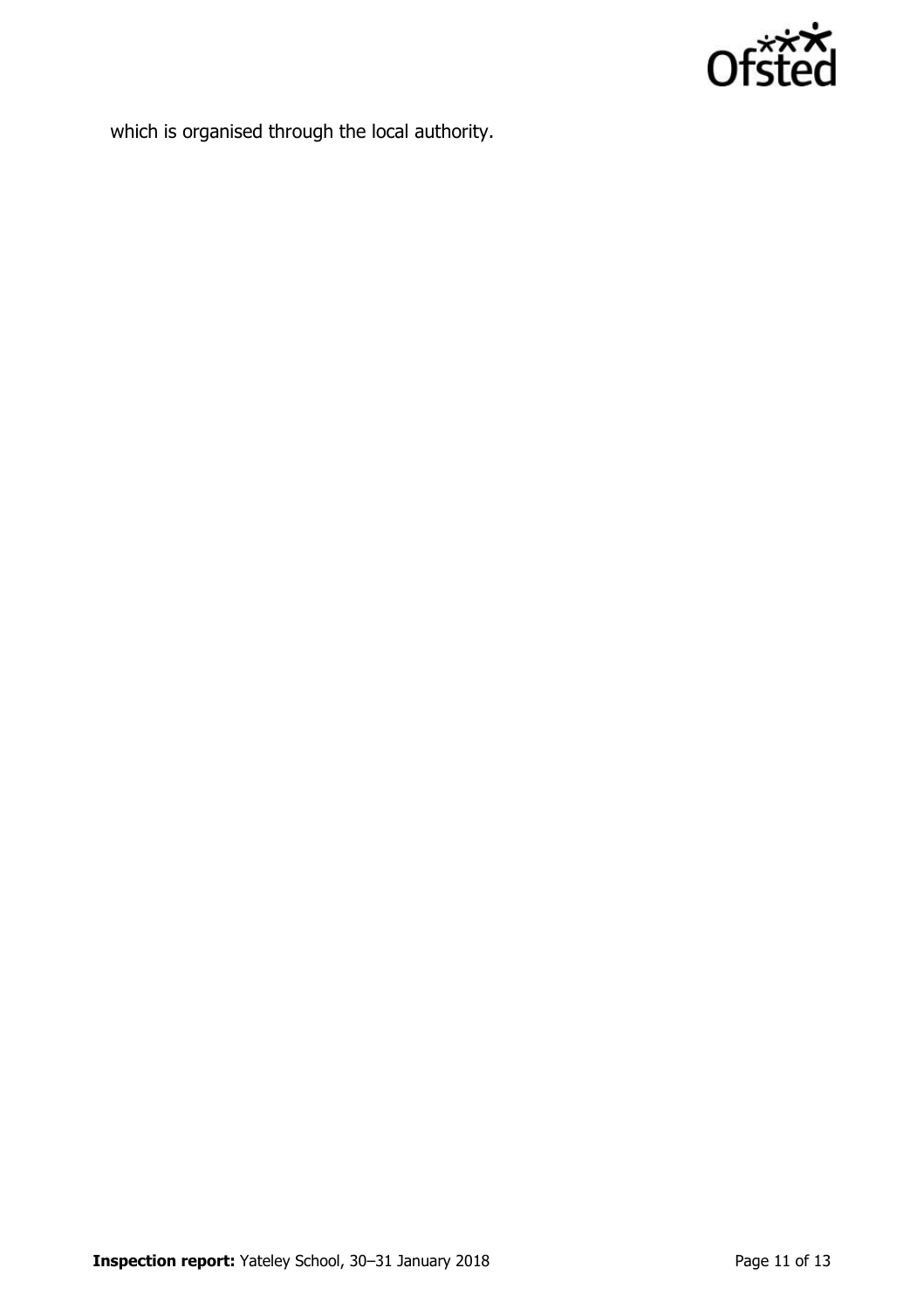

which is organised through the local authority.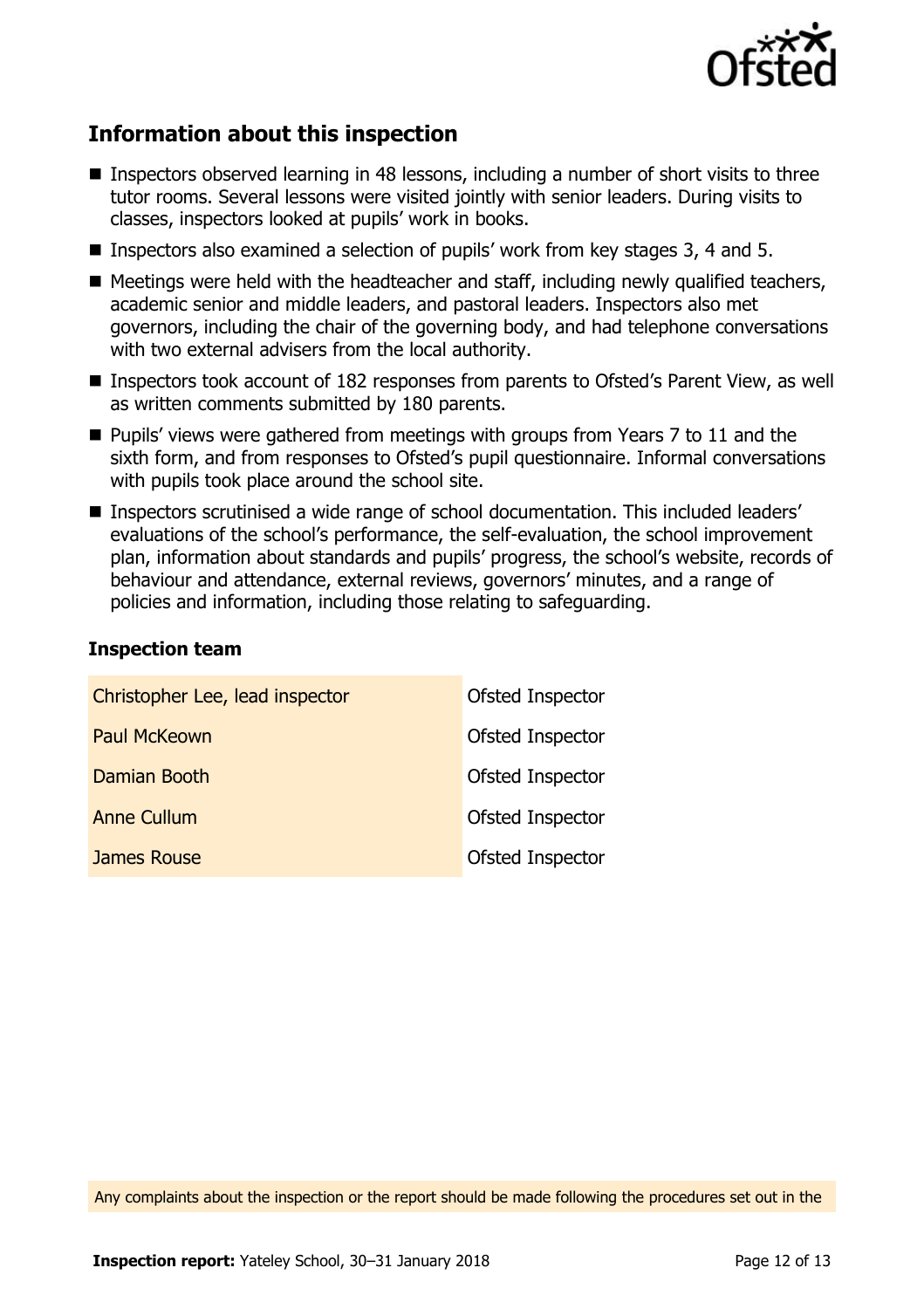

## **Information about this inspection**

- Inspectors observed learning in 48 lessons, including a number of short visits to three tutor rooms. Several lessons were visited jointly with senior leaders. During visits to classes, inspectors looked at pupils' work in books.
- **Inspectors also examined a selection of pupils' work from key stages 3, 4 and 5.**
- $\blacksquare$  Meetings were held with the headteacher and staff, including newly qualified teachers, academic senior and middle leaders, and pastoral leaders. Inspectors also met governors, including the chair of the governing body, and had telephone conversations with two external advisers from the local authority.
- Inspectors took account of 182 responses from parents to Ofsted's Parent View, as well as written comments submitted by 180 parents.
- **Pupils'** views were gathered from meetings with groups from Years 7 to 11 and the sixth form, and from responses to Ofsted's pupil questionnaire. Informal conversations with pupils took place around the school site.
- Inspectors scrutinised a wide range of school documentation. This included leaders' evaluations of the school's performance, the self-evaluation, the school improvement plan, information about standards and pupils' progress, the school's website, records of behaviour and attendance, external reviews, governors' minutes, and a range of policies and information, including those relating to safeguarding.

#### **Inspection team**

| Christopher Lee, lead inspector | Ofsted Inspector |
|---------------------------------|------------------|
| <b>Paul McKeown</b>             | Ofsted Inspector |
| Damian Booth                    | Ofsted Inspector |
| <b>Anne Cullum</b>              | Ofsted Inspector |
| James Rouse                     | Ofsted Inspector |

Any complaints about the inspection or the report should be made following the procedures set out in the